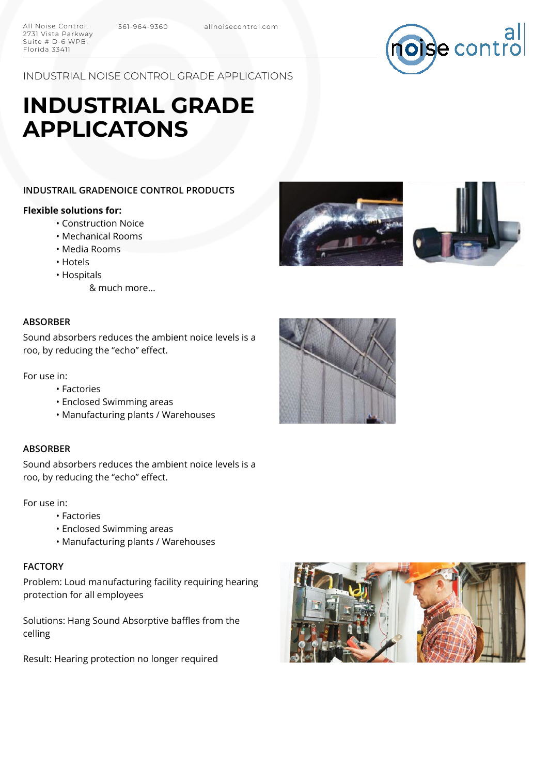

INDUSTRIAL NOISE CONTROL GRADE APPLICATIONS

# **INDUSTRIAL GRADE APPLICATONS**

# **INDUSTRAIL GRADENOICE CONTROL PRODUCTS**

#### **Flexible solutions for:**

2731 Vista Parkway Suite # D-6 WPB, Florida 33411

- Construction Noice
- Mechanical Rooms
- Media Rooms
- Hotels
- Hospitals
	- & much more...

#### **ABSORBER**

Sound absorbers reduces the ambient noice levels is a roo, by reducing the "echo" effect.

For use in:

- Factories
- Enclosed Swimming areas
- Manufacturing plants / Warehouses

#### **ABSORBER**

Sound absorbers reduces the ambient noice levels is a roo, by reducing the "echo" effect.

For use in:

- Factories
- Enclosed Swimming areas
- Manufacturing plants / Warehouses

## **FACTORY**

Problem: Loud manufacturing facility requiring hearing protection for all employees

Solutions: Hang Sound Absorptive baffles from the celling

Result: Hearing protection no longer required







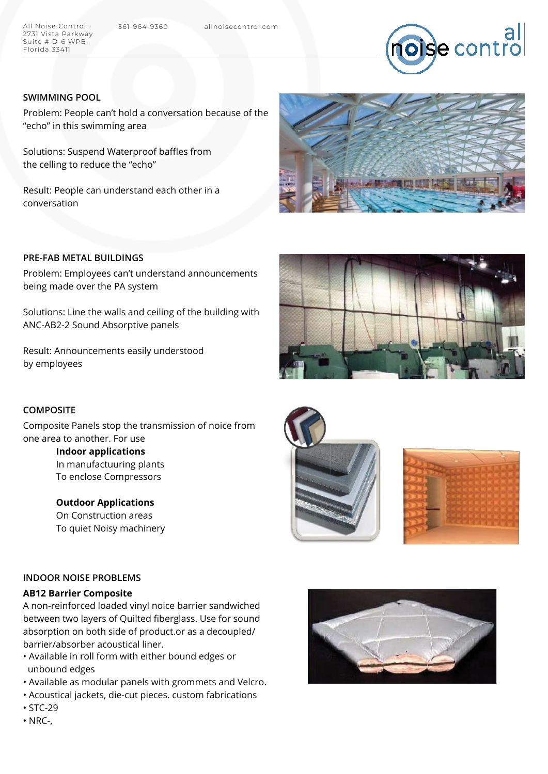All Noise Control, 561-964-9360 allnoisecontrol.com 2731 Vista Parkway Suite # D-6 WPB, Florida 33411



# **SWIMMING POOL**

Problem: People can't hold a conversation because of the "echo" in this swimming area

Solutions: Suspend Waterproof baffles from the celling to reduce the "echo"

Result: People can understand each other in a conversation



# **PRE-FAB METAL BUILDINGS**

Problem: Employees can't understand announcements being made over the PA system

Solutions: Line the walls and ceiling of the building with ANC-AB2-2 Sound Absorptive panels

Result: Announcements easily understood by employees

#### **COMPOSITE**

Composite Panels stop the transmission of noice from one area to another. For use

> **Indoor applications** In manufactuuring plants To enclose Compressors

> **Outdoor Applications** On Construction areas To quiet Noisy machinery







#### **INDOOR NOISE PROBLEMS**

### **AB12 Barrier Composite**

A non-reinforced loaded vinyl noice barrier sandwiched between two layers of Quilted fiberglass. Use for sound absorption on both side of product.or as a decoupled/ barrier/absorber acoustical liner.

- Available in roll form with either bound edges or unbound edges
- Available as modular panels with grommets and Velcro.
- Acoustical jackets, die-cut pieces. custom fabrications
- STC-29
- NRC-,

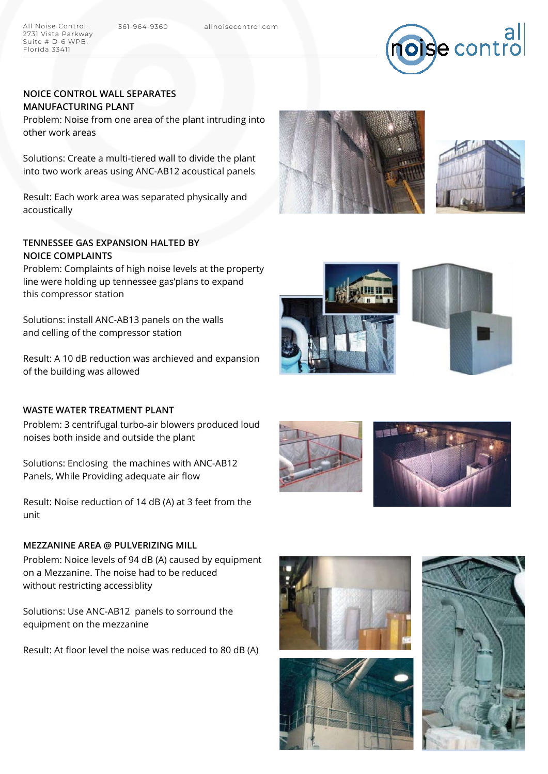All Noise Control, 561-964-9360 allnoisecontrol.com 2731 Vista Parkway Suite # D-6 WPB, Florida 33411



# **NOICE CONTROL WALL SEPARATES MANUFACTURING PLANT**

Problem: Noise from one area of the plant intruding into other work areas

Solutions: Create a multi-tiered wall to divide the plant into two work areas using ANC-AB12 acoustical panels

Result: Each work area was separated physically and acoustically

# **TENNESSEE GAS EXPANSION HALTED BY NOICE COMPLAINTS**

Problem: Complaints of high noise levels at the property line were holding up tennessee gas'plans to expand this compressor station

Solutions: install ANC-AB13 panels on the walls and celling of the compressor station

Result: A 10 dB reduction was archieved and expansion of the building was allowed

# **WASTE WATER TREATMENT PLANT**

Problem: 3 centrifugal turbo-air blowers produced loud noises both inside and outside the plant

Solutions: Enclosing the machines with ANC-AB12 Panels, While Providing adequate air flow

Result: Noise reduction of 14 dB (A) at 3 feet from the unit

#### **MEZZANINE AREA @ PULVERIZING MILL**

Problem: Noice levels of 94 dB (A) caused by equipment on a Mezzanine. The noise had to be reduced without restricting accessiblity

Solutions: Use ANC-AB12 panels to sorround the equipment on the mezzanine

Result: At floor level the noise was reduced to 80 dB (A)















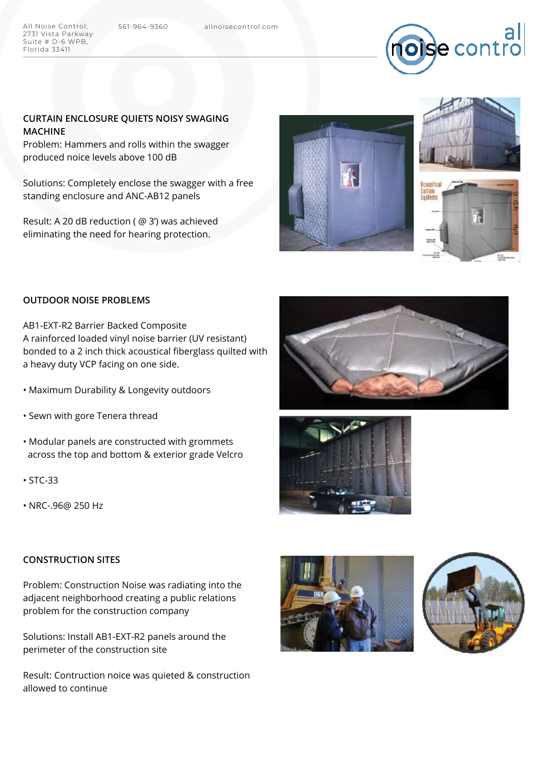2731 Vista Parkway Suite # D-6 WPB, Florida 33411



### **CURTAIN ENCLOSURE QUIETS NOISY SWAGING MACHINE**

Problem: Hammers and rolls within the swagger produced noice levels above 100 dB

Solutions: Completely enclose the swagger with a free standing enclosure and ANC-AB12 panels

Result: A 20 dB reduction ( @ 3') was achieved eliminating the need for hearing protection.





# **OUTDOOR NOISE PROBLEMS**

AB1-EXT-R2 Barrier Backed Composite A rainforced loaded vinyl noise barrier (UV resistant) bonded to a 2 inch thick acoustical fiberglass quilted with a heavy duty VCP facing on one side.

- Maximum Durability & Longevity outdoors
- Sewn with gore Tenera thread
- Modular panels are constructed with grommets across the top and bottom & exterior grade Velcro
- STC-33
- NRC-.96@ 250 Hz

#### **CONSTRUCTION SITES**

Problem: Construction Noise was radiating into the adjacent neighborhood creating a public relations problem for the construction company

Solutions: Install AB1-EXT-R2 panels around the perimeter of the construction site

Result: Contruction noice was quieted & construction allowed to continue







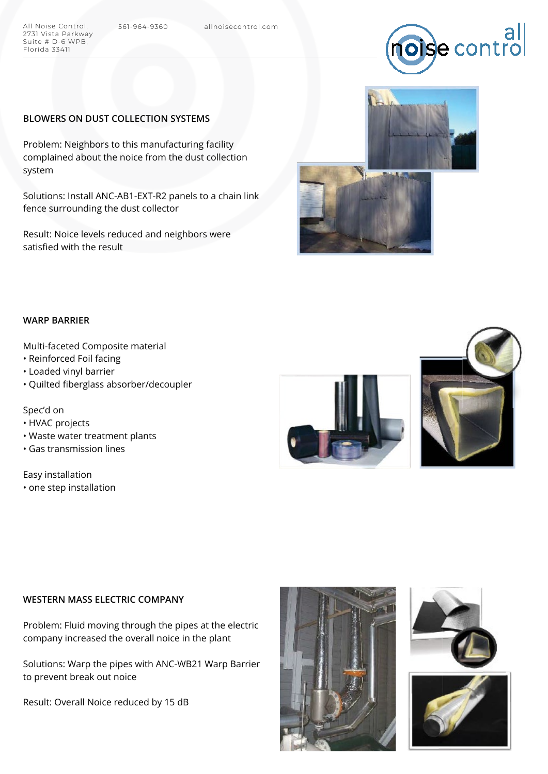

#### **BLOWERS ON DUST COLLECTION SYSTEMS**

Problem: Neighbors to this manufacturing facility complained about the noice from the dust collection system

Solutions: Install ANC-AB1-EXT-R2 panels to a chain link fence surrounding the dust collector

Result: Noice levels reduced and neighbors were satisfied with the result



#### **WARP BARRIER**

2731 Vista Parkway Suite # D-6 WPB, Florida 33411

Multi-faceted Composite material

- Reinforced Foil facing
- Loaded vinyl barrier
- Quilted fiberglass absorber/decoupler

#### Spec'd on

- HVAC projects
- Waste water treatment plants
- Gas transmission lines

Easy installation • one step installation





# **WESTERN MASS ELECTRIC COMPANY**

Problem: Fluid moving through the pipes at the electric company increased the overall noice in the plant

Solutions: Warp the pipes with ANC-WB21 Warp Barrier to prevent break out noice

Result: Overall Noice reduced by 15 dB